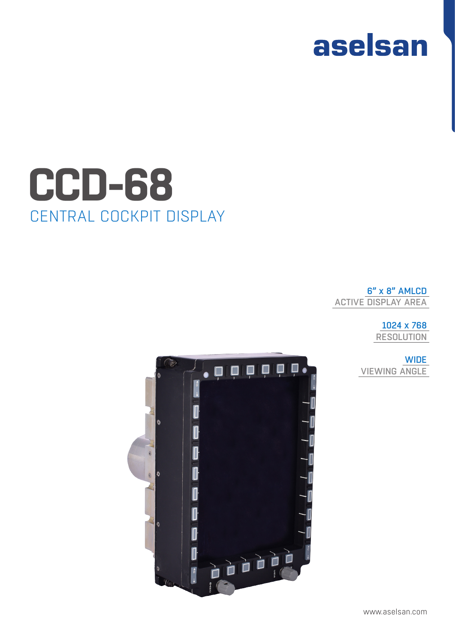



6" x 8" AMLCD ACTIVE DISPLAY AREA

> 1024 x 768 RESOLUTION

**WIDE** VIEWING ANGLE

## CENTRAL COCKPIT DISPLAY **CCD-68**

aselsan